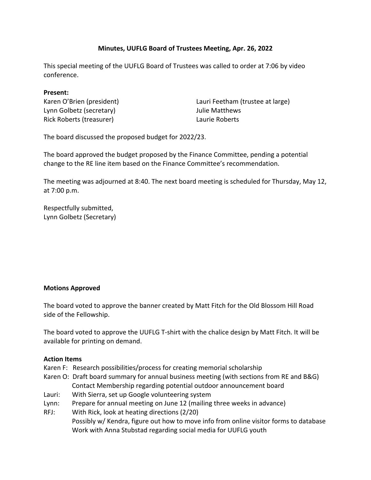# **Minutes, UUFLG Board of Trustees Meeting, Apr. 26, 2022**

This special meeting of the UUFLG Board of Trustees was called to order at 7:06 by video conference.

#### **Present:**

Karen O'Brien (president) Lynn Golbetz (secretary) Rick Roberts (treasurer)

Lauri Feetham (trustee at large) Julie Matthews Laurie Roberts

The board discussed the proposed budget for 2022/23.

The board approved the budget proposed by the Finance Committee, pending a potential change to the RE line item based on the Finance Committee's recommendation.

The meeting was adjourned at 8:40. The next board meeting is scheduled for Thursday, May 12, at 7:00 p.m.

Respectfully submitted, Lynn Golbetz (Secretary)

### **Motions Approved**

The board voted to approve the banner created by Matt Fitch for the Old Blossom Hill Road side of the Fellowship.

The board voted to approve the UUFLG T-shirt with the chalice design by Matt Fitch. It will be available for printing on demand.

### **Action Items**

- Karen F: Research possibilities/process for creating memorial scholarship
- Karen O: Draft board summary for annual business meeting (with sections from RE and B&G) Contact Membership regarding potential outdoor announcement board
- Lauri: With Sierra, set up Google volunteering system
- Lynn: Prepare for annual meeting on June 12 (mailing three weeks in advance)
- RFJ: With Rick, look at heating directions (2/20) Possibly w/ Kendra, figure out how to move info from online visitor forms to database Work with Anna Stubstad regarding social media for UUFLG youth